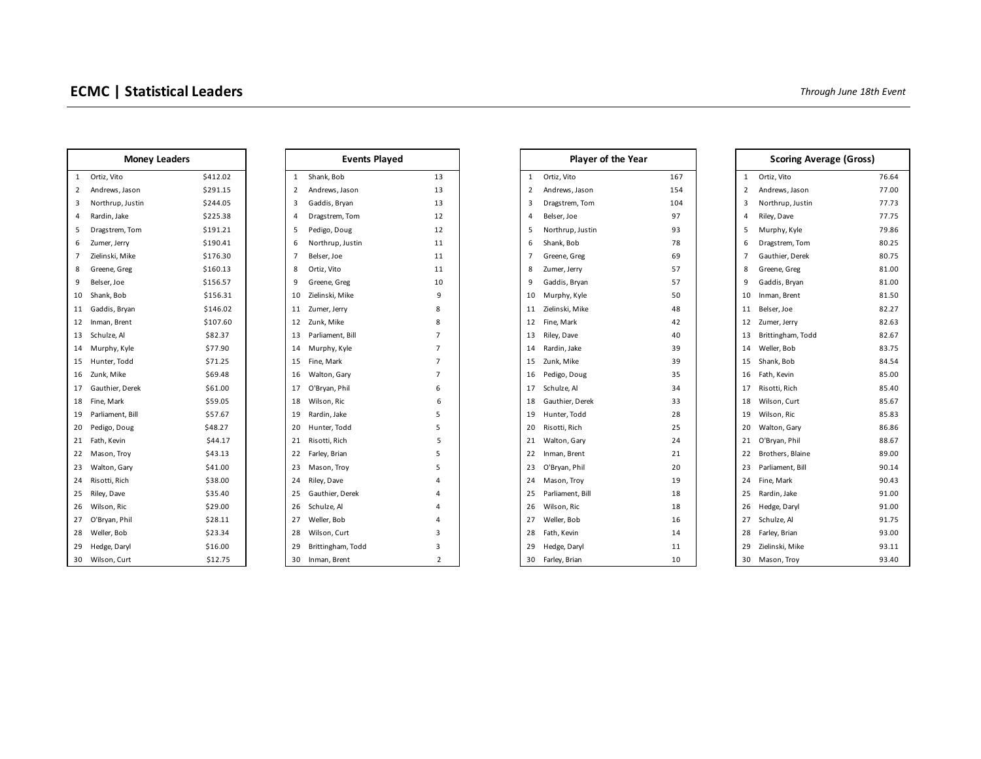| <b>Money Leaders</b> |                  |          |          | <b>Events</b>     |
|----------------------|------------------|----------|----------|-------------------|
| 1                    | Ortiz, Vito      | \$412.02 | 1        | Shank, Bob        |
| 2                    | Andrews, Jason   | \$291.15 | 2        | Andrews, Jason    |
| 3                    | Northrup, Justin | \$244.05 | 3        | Gaddis, Bryan     |
| 4                    | Rardin, Jake     | \$225.38 | 4        | Dragstrem, Tom    |
| 5                    | Dragstrem, Tom   | \$191.21 | 5        | Pedigo, Doug      |
| 6                    | Zumer, Jerry     | \$190.41 | 6        | Northrup, Justin  |
| 7                    | Zielinski, Mike  | \$176.30 | 7        | Belser, Joe       |
| 8                    | Greene, Greg     | \$160.13 | 8        | Ortiz, Vito       |
| 9                    | Belser, Joe      | \$156.57 | 9        | Greene, Greg      |
| 10                   | Shank, Bob       | \$156.31 | 10       | Zielinski, Mike   |
| 11                   | Gaddis, Bryan    | \$146.02 | 11       | Zumer, Jerry      |
| 12                   | Inman, Brent     | \$107.60 | 12       | Zunk, Mike        |
| 13                   | Schulze, Al      | \$82.37  | 13       | Parliament, Bill  |
| 14                   | Murphy, Kyle     | \$77.90  | 14       | Murphy, Kyle      |
| 15                   | Hunter, Todd     | \$71.25  | 15       | Fine, Mark        |
| 16                   | Zunk, Mike       | \$69.48  | 16       | Walton, Gary      |
| 17                   | Gauthier, Derek  | \$61.00  | 17       | O'Bryan, Phil     |
| 18                   | Fine, Mark       | \$59.05  | 18       | Wilson, Ric       |
| 19                   | Parliament, Bill | \$57.67  | 19       | Rardin, Jake      |
| 20                   | Pedigo, Doug     | \$48.27  | 20       | Hunter, Todd      |
| 21                   | Fath, Kevin      | \$44.17  | 21       | Risotti, Rich     |
| 22                   | Mason, Troy      | \$43.13  | 22       | Farley, Brian     |
| 23                   | Walton, Gary     | \$41.00  | 23       | Mason, Troy       |
| 24                   | Risotti, Rich    | \$38.00  | 24       | Riley, Dave       |
| 25                   | Riley, Dave      | \$35.40  | 25       | Gauthier, Derek   |
| 26                   | Wilson, Ric      | \$29.00  | 26       | Schulze, Al       |
| 27                   | O'Bryan, Phil    | \$28.11  | 27       | Weller, Bob       |
| 28                   | Weller, Bob      | \$23.34  | 28       | Wilson, Curt      |
| 29                   | Hedge, Daryl     | \$16.00  | 29       | Brittingham, Todd |
| າ∩ ເ                 | Wilcon Curt      | 61275    | $\Omega$ | Inman Pront       |

| <b>Events Played</b> |                   |                |  |  |
|----------------------|-------------------|----------------|--|--|
| 1                    | Shank, Bob        | 13             |  |  |
| 2                    | Andrews, Jason    | 13             |  |  |
| 3                    | Gaddis, Bryan     | 13             |  |  |
| 4                    | Dragstrem, Tom    | 12             |  |  |
| 5                    | Pedigo, Doug      | 12             |  |  |
| 6                    | Northrup, Justin  | 11             |  |  |
| 7                    | Belser, Joe       | 11             |  |  |
| 8                    | Ortiz, Vito       | 11             |  |  |
| 9                    | Greene, Greg      | 10             |  |  |
| 10                   | Zielinski, Mike   | 9              |  |  |
| 11                   | Zumer, Jerry      | 8              |  |  |
| 12                   | Zunk, Mike        | 8              |  |  |
| 13                   | Parliament, Bill  | 7              |  |  |
| 14                   | Murphy, Kyle      | 7              |  |  |
| 15                   | Fine, Mark        | 7              |  |  |
| 16                   | Walton, Gary      | 7              |  |  |
| 17                   | O'Bryan, Phil     | 6              |  |  |
| 18                   | Wilson, Ric       | 6              |  |  |
| 19                   | Rardin, Jake      | 5              |  |  |
| 20                   | Hunter, Todd      | 5              |  |  |
| 21                   | Risotti, Rich     | 5              |  |  |
| 22                   | Farley, Brian     | 5              |  |  |
| 23                   | Mason, Troy       | 5              |  |  |
| 24                   | Riley, Dave       | 4              |  |  |
| 25                   | Gauthier, Derek   | 4              |  |  |
| 26                   | Schulze, Al       | 4              |  |  |
| 27                   | Weller, Bob       | 4              |  |  |
| 28                   | Wilson, Curt      | 3              |  |  |
| 29                   | Brittingham, Todd | 3              |  |  |
| 30.                  | Inman Brent       | $\mathfrak{p}$ |  |  |

| <b>Money Leaders</b>             |          | <b>Events Played</b>             |                | <b>Player of the Year</b>      |     |                                  | <b>Scoring Average (Gross)</b> |  |
|----------------------------------|----------|----------------------------------|----------------|--------------------------------|-----|----------------------------------|--------------------------------|--|
| 1 Ortiz, Vito                    | \$412.02 | 1 Shank, Bob                     | 13             | Ortiz, Vito<br>$\mathbf{1}$    | 167 | Ortiz, Vito<br>1                 | 76.64                          |  |
| $\overline{2}$<br>Andrews, Jason | \$291.15 | Andrews, Jason<br>$\overline{2}$ | 13             | Andrews, Jason<br>2            | 154 | Andrews, Jason<br>$\overline{2}$ | 77.00                          |  |
| Northrup, Justin<br>3            | \$244.05 | Gaddis, Bryan<br>3               | 13             | Dragstrem, Tom<br>3            | 104 | Northrup, Justin<br>3            | 77.73                          |  |
| Rardin, Jake<br>4                | \$225.38 | Dragstrem, Tom<br>4              | 12             | Belser, Joe<br>$\overline{4}$  | 97  | Riley, Dave<br>4                 | 77.75                          |  |
| Dragstrem, Tom<br>5              | \$191.21 | 5<br>Pedigo, Doug                | 12             | Northrup, Justin<br>5          | 93  | Murphy, Kyle<br>5                | 79.86                          |  |
| 6<br>Zumer, Jerry                | \$190.41 | Northrup, Justin<br>6            | 11             | Shank, Bob<br>6                | 78  | Dragstrem, Tom<br>6              | 80.25                          |  |
| Zielinski, Mike                  | \$176.30 | 7<br>Belser, Joe                 | 11             | $\overline{7}$<br>Greene, Greg | 69  | Gauthier, Derek<br>7             | 80.75                          |  |
| Greene, Greg<br>8                | \$160.13 | Ortiz, Vito<br>8                 | 11             | 8<br>Zumer, Jerry              | 57  | Greene, Greg<br>8                | 81.00                          |  |
| 9<br>Belser, Joe                 | \$156.57 | Greene, Greg<br>9                | 10             | Gaddis, Bryan<br>9             | 57  | Gaddis, Bryan<br>9               | 81.00                          |  |
| 10 Shank, Bob                    | \$156.31 | 10 Zielinski, Mike               | 9              | Murphy, Kyle<br>10             | 50  | Inman, Brent<br>10               | 81.50                          |  |
| 11 Gaddis, Bryan                 | \$146.02 | 11 Zumer, Jerry                  | 8              | Zielinski, Mike<br>11          | 48  | Belser, Joe<br>11                | 82.27                          |  |
| 12 Inman, Brent                  | \$107.60 | 12 Zunk, Mike                    | 8              | Fine, Mark<br>12               | 42  | Zumer, Jerry<br>12               | 82.63                          |  |
| 13 Schulze, Al                   | \$82.37  | 13 Parliament, Bill              | $\overline{7}$ | Riley, Dave<br>13              | 40  | Brittingham, Todd<br>13          | 82.67                          |  |
| 14 Murphy, Kyle                  | \$77.90  | 14 Murphy, Kyle                  |                | Rardin, Jake<br>14             | 39  | Weller, Bob<br>14                | 83.75                          |  |
| 15 Hunter, Todd                  | \$71.25  | 15 Fine, Mark                    | $\overline{7}$ | Zunk, Mike<br>15               | 39  | Shank, Bob<br>15                 | 84.54                          |  |
| 16 Zunk, Mike                    | \$69.48  | 16 Walton, Gary                  | $\overline{7}$ | Pedigo, Doug<br>16             | 35  | Fath, Kevin<br>16                | 85.00                          |  |
| 17 Gauthier, Derek               | \$61.00  | 17 O'Bryan, Phil                 | 6              | Schulze, Al<br>17              | 34  | Risotti, Rich<br>17              | 85.40                          |  |
| 18 Fine, Mark                    | \$59.05  | 18 Wilson, Ric                   | 6              | Gauthier, Derek<br>18          | 33  | Wilson, Curt<br>18               | 85.67                          |  |
| 19 Parliament, Bill              | \$57.67  | 19 Rardin, Jake                  | 5              | Hunter, Todd<br>19             | 28  | Wilson, Ric<br>19                | 85.83                          |  |
| 20 Pedigo, Doug                  | \$48.27  | 20 Hunter, Todd                  | 5              | Risotti, Rich<br>20            | 25  | Walton, Gary<br>20               | 86.86                          |  |
| 21 Fath, Kevin                   | \$44.17  | 21 Risotti, Rich                 | 5              | 21<br>Walton, Gary             | 24  | 21 O'Bryan, Phil                 | 88.67                          |  |
| 22 Mason, Troy                   | \$43.13  | 22 Farley, Brian                 | 5.             | Inman, Brent<br>22             | 21  | Brothers, Blaine<br>22           | 89.00                          |  |
| 23 Walton, Gary                  | \$41.00  | 23 Mason, Troy                   | 5              | 23<br>O'Bryan, Phil            | 20  | Parliament, Bill<br>23           | 90.14                          |  |
| 24 Risotti, Rich                 | \$38.00  | 24 Riley, Dave                   |                | Mason, Troy<br>24              | 19  | 24<br>Fine, Mark                 | 90.43                          |  |
| 25 Riley, Dave                   | \$35.40  | 25 Gauthier, Derek               |                | 25<br>Parliament, Bill         | 18  | Rardin, Jake<br>25               | 91.00                          |  |
| 26 Wilson, Ric                   | \$29.00  | 26 Schulze, Al                   |                | 26<br>Wilson, Ric              | 18  | Hedge, Daryl<br>26               | 91.00                          |  |
| 27 O'Bryan, Phil                 | \$28.11  | 27 Weller, Bob                   |                | Weller, Bob<br>27              | 16  | Schulze, Al<br>27                | 91.75                          |  |
| 28 Weller, Bob                   | \$23.34  | 28 Wilson, Curt                  | 3              | Fath, Kevin<br>28              | 14  | Farley, Brian<br>28              | 93.00                          |  |
| 29 Hedge, Daryl                  | \$16.00  | Brittingham, Todd<br>29          | 3              | Hedge, Daryl<br>29             | 11  | Zielinski, Mike<br>29            | 93.11                          |  |
| 30 Wilson, Curt                  | \$12.75  | 30 Inman, Brent                  | $\overline{2}$ | 30 Farley, Brian               | 10  | 30 Mason, Troy                   | 93.40                          |  |